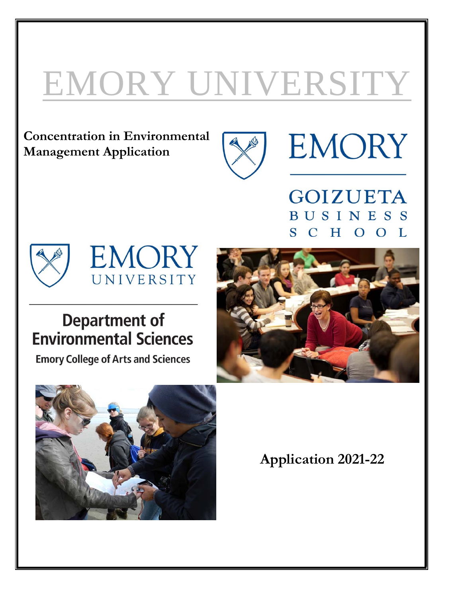# EMORY UNIVERSITY

**Concentration in Environmental Management Application**



**EMORY** 

**GOIZUETA BUSINESS** HOOL  $S$  $\mathcal{C}$ 





# **Department of Environmental Sciences**

**Emory College of Arts and Sciences** 





**Application 2021-22**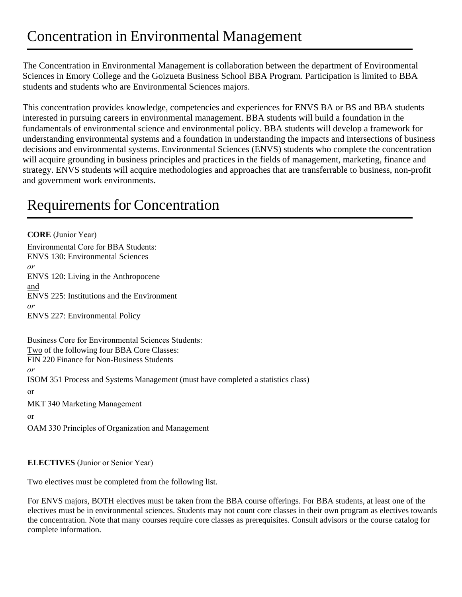The Concentration in Environmental Management is collaboration between the department of Environmental Sciences in Emory College and the Goizueta Business School BBA Program. Participation is limited to BBA students and students who are Environmental Sciences majors.

This concentration provides knowledge, competencies and experiences for ENVS BA or BS and BBA students interested in pursuing careers in environmental management. BBA students will build a foundation in the fundamentals of environmental science and environmental policy. BBA students will develop a framework for understanding environmental systems and a foundation in understanding the impacts and intersections of business decisions and environmental systems. Environmental Sciences (ENVS) students who complete the concentration will acquire grounding in business principles and practices in the fields of management, marketing, finance and strategy. ENVS students will acquire methodologies and approaches that are transferrable to business, non-profit and government work environments.

# Requirements for Concentration

**CORE** (Junior Year) Environmental Core for BBA Students: ENVS 130: Environmental Sciences *or* ENVS 120: Living in the Anthropocene and ENVS 225: Institutions and the Environment *or* ENVS 227: Environmental Policy Business Core for Environmental Sciences Students: Two of the following four BBA Core Classes: FIN 220 Finance for Non-Business Students *or* ISOM 351 Process and Systems Management (must have completed a statistics class) or MKT 340 Marketing Management or OAM 330 Principles of Organization and Management

#### **ELECTIVES** (Junior or Senior Year)

Two electives must be completed from the following list.

For ENVS majors, BOTH electives must be taken from the BBA course offerings. For BBA students, at least one of the electives must be in environmental sciences. Students may not count core classes in their own program as electives towards the concentration. Note that many courses require core classes as prerequisites. Consult advisors or the course catalog for complete information.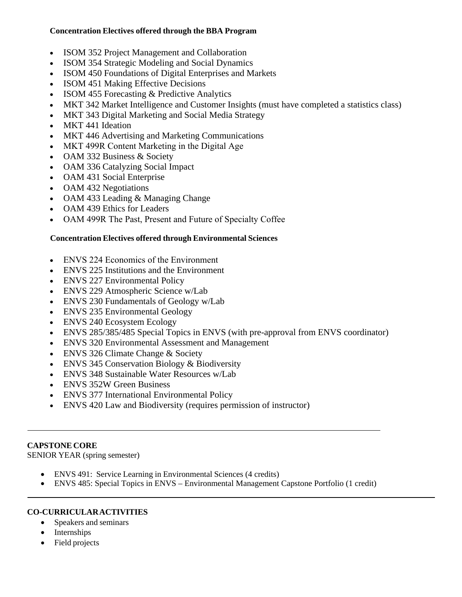#### **Concentration Electives offered through the BBA Program**

- ISOM 352 Project Management and Collaboration
- ISOM 354 Strategic Modeling and Social Dynamics
- ISOM 450 Foundations of Digital Enterprises and Markets
- ISOM 451 Making Effective Decisions
- ISOM 455 Forecasting & Predictive Analytics
- MKT 342 Market Intelligence and Customer Insights (must have completed a statistics class)
- MKT 343 Digital Marketing and Social Media Strategy
- MKT 441 Ideation
- MKT 446 Advertising and Marketing Communications
- MKT 499R Content Marketing in the Digital Age
- OAM 332 Business & Society
- OAM 336 Catalyzing Social Impact
- OAM 431 Social Enterprise
- OAM 432 Negotiations
- OAM 433 Leading & Managing Change
- OAM 439 Ethics for Leaders
- OAM 499R The Past, Present and Future of Specialty Coffee

#### **Concentration Electives offered through Environmental Sciences**

- ENVS 224 Economics of the Environment
- ENVS 225 Institutions and the Environment
- ENVS 227 Environmental Policy
- ENVS 229 Atmospheric Science w/Lab
- ENVS 230 Fundamentals of Geology w/Lab
- ENVS 235 Environmental Geology
- ENVS 240 Ecosystem Ecology
- ENVS 285/385/485 Special Topics in ENVS (with pre-approval from ENVS coordinator)
- ENVS 320 Environmental Assessment and Management
- ENVS 326 Climate Change & Society
- ENVS 345 Conservation Biology & Biodiversity
- ENVS 348 Sustainable Water Resources w/Lab
- ENVS 352W Green Business
- ENVS 377 International Environmental Policy
- ENVS 420 Law and Biodiversity (requires permission of instructor)

#### **CAPSTONE CORE**

SENIOR YEAR (spring semester)

- ENVS 491: Service Learning in Environmental Sciences (4 credits)
- ENVS 485: Special Topics in ENVS Environmental Management Capstone Portfolio (1 credit)

# **CO-CURRICULAR ACTIVITIES**

- Speakers and seminars
- Internships
- Field projects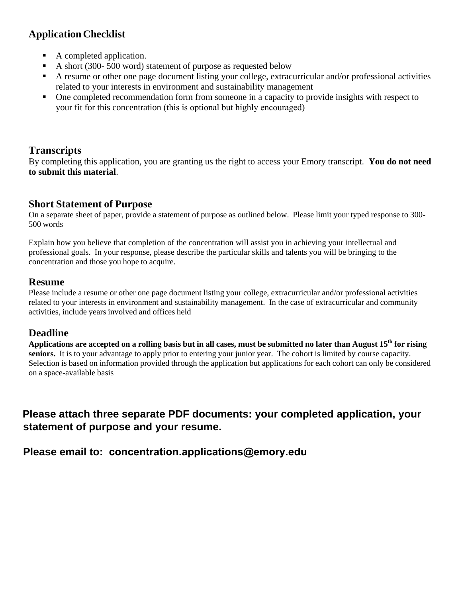# **Application Checklist**

- A completed application.
- A short (300- 500 word) statement of purpose as requested below
- A resume or other one page document listing your college, extracurricular and/or professional activities related to your interests in environment and sustainability management
- One completed recommendation form from someone in a capacity to provide insights with respect to your fit for this concentration (this is optional but highly encouraged)

# **Transcripts**

By completing this application, you are granting us the right to access your Emory transcript. **You do not need to submit this material**.

# **Short Statement of Purpose**

On a separate sheet of paper, provide a statement of purpose as outlined below. Please limit your typed response to 300- 500 words

Explain how you believe that completion of the concentration will assist you in achieving your intellectual and professional goals. In your response, please describe the particular skills and talents you will be bringing to the concentration and those you hope to acquire.

#### **Resume**

Please include a resume or other one page document listing your college, extracurricular and/or professional activities related to your interests in environment and sustainability management. In the case of extracurricular and community activities, include years involved and offices held

# **Deadline**

Applications are accepted on a rolling basis but in all cases, must be submitted no later than August 15<sup>th</sup> for rising **seniors.** It is to your advantage to apply prior to entering your junior year. The cohort is limited by course capacity. Selection is based on information provided through the application but applications for each cohort can only be considered on a space-available basis

**Please attach three separate PDF documents: your completed application, your statement of purpose and your resume.** 

**Please email to: concentration.applications@emory.edu**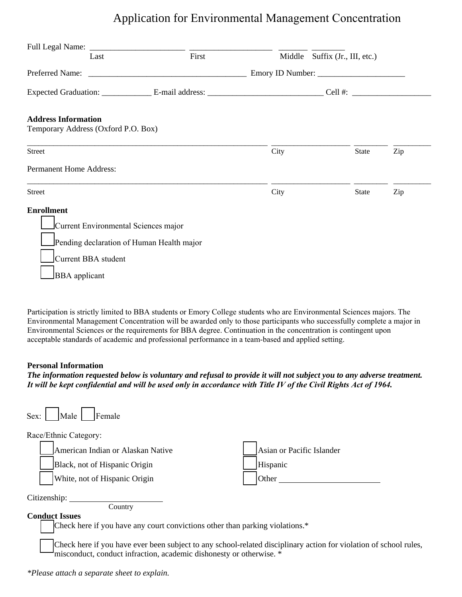# Application for Environmental Management Concentration

| Last                                      | First | Middle Suffix (Jr., III, etc.) |              |     |
|-------------------------------------------|-------|--------------------------------|--------------|-----|
|                                           |       |                                |              |     |
|                                           |       |                                |              |     |
| <b>Address Information</b>                |       |                                |              |     |
| Temporary Address (Oxford P.O. Box)       |       |                                |              |     |
| Street                                    |       | City                           | State        | Zip |
| Permanent Home Address:                   |       |                                |              |     |
| <b>Street</b>                             |       | City                           | <b>State</b> | Zip |
| <b>Enrollment</b>                         |       |                                |              |     |
| Current Environmental Sciences major      |       |                                |              |     |
| Pending declaration of Human Health major |       |                                |              |     |
| Current BBA student                       |       |                                |              |     |
| <b>BBA</b> applicant                      |       |                                |              |     |

Participation is strictly limited to BBA students or Emory College students who are Environmental Sciences majors. The Environmental Management Concentration will be awarded only to those participants who successfully complete a major in Environmental Sciences or the requirements for BBA degree. Continuation in the concentration is contingent upon acceptable standards of academic and professional performance in a team-based and applied setting.

#### **Personal Information**

*The information requested below is voluntary and refusal to provide it will not subject you to any adverse treatment.* It will be kept confidential and will be used only in accordance with Title IV of the Civil Rights Act of 1964.

| Female<br>Male  <br>Sex:                                                                                                                                                                 |                           |  |  |  |
|------------------------------------------------------------------------------------------------------------------------------------------------------------------------------------------|---------------------------|--|--|--|
| Race/Ethnic Category:                                                                                                                                                                    |                           |  |  |  |
| American Indian or Alaskan Native                                                                                                                                                        | Asian or Pacific Islander |  |  |  |
| Black, not of Hispanic Origin                                                                                                                                                            | Hispanic                  |  |  |  |
| White, not of Hispanic Origin                                                                                                                                                            | Other                     |  |  |  |
| Citizenship:                                                                                                                                                                             |                           |  |  |  |
| Country<br><b>Conduct Issues</b>                                                                                                                                                         |                           |  |  |  |
| Check here if you have any court convictions other than parking violations.*                                                                                                             |                           |  |  |  |
| Check here if you have ever been subject to any school-related disciplinary action for violation of school rules,<br>misconduct, conduct infraction, academic dishonesty or otherwise. * |                           |  |  |  |

*\*Please attach a separate sheet to explain.*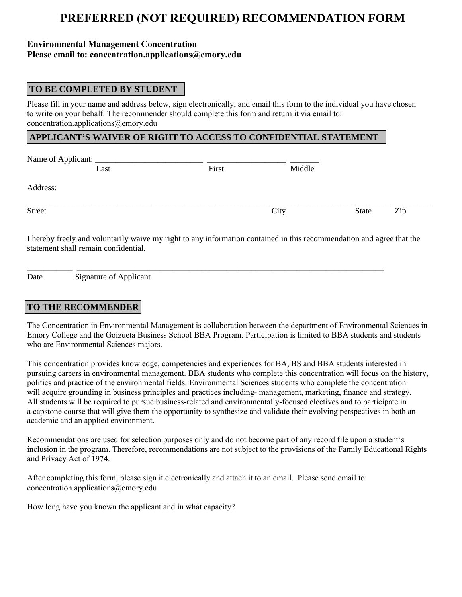# **PREFERRED (NOT REQUIRED) RECOMMENDATION FORM**

#### **Environmental Management Concentration Please email to: concentration.applications@emory.edu**

#### **TO BE COMPLETED BY STUDENT**

Please fill in your name and address below, sign electronically, and email this form to the individual you have chosen to write on your behalf. The recommender should complete this form and return it via email to: concentration.applications@emory.edu

#### **APPLICANT'S WAIVER OF RIGHT TO ACCESS TO CONFIDENTIAL STATEMENT**

| Name of Applicant: ____ |       |        |      |       |     |  |
|-------------------------|-------|--------|------|-------|-----|--|
| Last                    | First | Middle |      |       |     |  |
| Address:                |       |        |      |       |     |  |
| <b>Street</b>           |       |        | City | State | Zip |  |

I hereby freely and voluntarily waive my right to any information contained in this recommendation and agree that the statement shall remain confidential.

\_\_\_\_\_\_\_\_\_\_\_ \_\_\_\_\_\_\_\_\_\_\_\_\_\_\_\_\_\_\_\_\_\_\_\_\_\_\_\_\_\_\_\_\_\_\_\_\_\_\_\_\_\_\_\_\_\_\_\_\_\_\_\_\_\_\_\_\_\_\_\_\_\_\_\_\_\_\_\_\_\_\_\_\_\_

Date Signature of Applicant

#### **TO THE RECOMMENDER**

The Concentration in Environmental Management is collaboration between the department of Environmental Sciences in Emory College and the Goizueta Business School BBA Program. Participation is limited to BBA students and students who are Environmental Sciences majors.

This concentration provides knowledge, competencies and experiences for BA, BS and BBA students interested in pursuing careers in environmental management. BBA students who complete this concentration will focus on the history, politics and practice of the environmental fields. Environmental Sciences students who complete the concentration will acquire grounding in business principles and practices including- management, marketing, finance and strategy. All students will be required to pursue business-related and environmentally-focused electives and to participate in a capstone course that will give them the opportunity to synthesize and validate their evolving perspectives in both an academic and an applied environment.

Recommendations are used for selection purposes only and do not become part of any record file upon a student's inclusion in the program. Therefore, recommendations are not subject to the provisions of the Family Educational Rights and Privacy Act of 1974.

After completing this form, please sign it electronically and attach it to an email. Please send email to: concentration.applications@emory.edu

How long have you known the applicant and in what capacity?